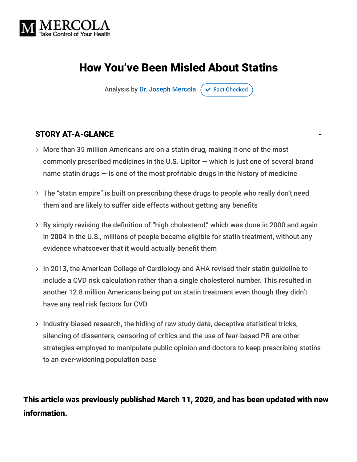

# How You've Been Misled About Statins

Analysis by [Dr. Joseph Mercola](https://www.mercola.com/forms/background.htm)  $\sigma$  [Fact Checked](javascript:void(0))

#### STORY AT-A-GLANCE

- More than 35 million Americans are on a statin drug, making it one of the most commonly prescribed medicines in the U.S. Lipitor — which is just one of several brand name statin drugs  $-$  is one of the most profitable drugs in the history of medicine
- The "statin empire" is built on prescribing these drugs to people who really don't need them and are likely to suffer side effects without getting any benefits
- By simply revising the definition of "high cholesterol," which was done in 2000 and again in 2004 in the U.S., millions of people became eligible for statin treatment, without any evidence whatsoever that it would actually benefit them
- > In 2013, the American College of Cardiology and AHA revised their statin guideline to include a CVD risk calculation rather than a single cholesterol number. This resulted in another 12.8 million Americans being put on statin treatment even though they didn't have any real risk factors for CVD
- $>$  Industry-biased research, the hiding of raw study data, deceptive statistical tricks, silencing of dissenters, censoring of critics and the use of fear-based PR are other strategies employed to manipulate public opinion and doctors to keep prescribing statins to an ever-widening population base

#### This article was previously published March 11, 2020, and has been updated with new information.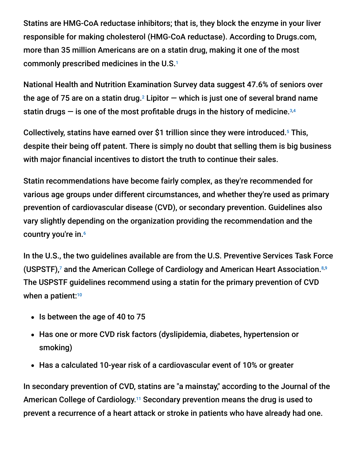Statins are HMG-CoA reductase inhibitors; that is, they block the enzyme in your liver responsible for making cholesterol (HMG-CoA reductase). According to Drugs.com, more than 35 million Americans are on a statin drug, making it one of the most commonly prescribed medicines in the U.S. 1

National Health and Nutrition Examination Survey data suggest 47.6% of seniors over the age of 75 are on a statin drug. $^2$  Lipitor  $-$  which is just one of several brand name statin drugs  $-$  is one of the most profitable drugs in the history of medicine. $3,4$ 

Collectively, statins have earned over \$1 trillion since they were introduced.<sup>5</sup> This, despite their being off patent. There is simply no doubt that selling them is big business with major financial incentives to distort the truth to continue their sales.

Statin recommendations have become fairly complex, as they're recommended for various age groups under different circumstances, and whether they're used as primary prevention of cardiovascular disease (CVD), or secondary prevention. Guidelines also vary slightly depending on the organization providing the recommendation and the country you're in. 6

In the U.S., the two guidelines available are from the U.S. Preventive Services Task Force (USPSTF),<sup>7</sup> and the American College of Cardiology and American Heart Association.<sup>8,9</sup> The USPSTF guidelines recommend using a statin for the primary prevention of CVD when a patient:<sup>10</sup>

- Is between the age of 40 to 75
- Has one or more CVD risk factors (dyslipidemia, diabetes, hypertension or smoking)
- Has a calculated 10-year risk of a cardiovascular event of 10% or greater

In secondary prevention of CVD, statins are "a mainstay," according to the Journal of the American College of Cardiology.<sup>11</sup> Secondary prevention means the drug is used to prevent a recurrence of a heart attack or stroke in patients who have already had one.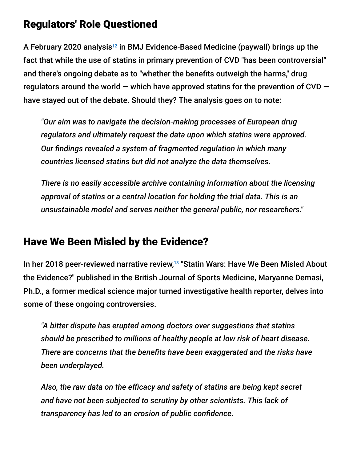#### Regulators' Role Questioned

A February 2020 analysis<sup>12</sup> in BMJ Evidence-Based Medicine (paywall) brings up the fact that while the use of statins in primary prevention of CVD "has been controversial" and there's ongoing debate as to "whether the benefits outweigh the harms," drug regulators around the world  $-$  which have approved statins for the prevention of CVD  $$ have stayed out of the debate. Should they? The analysis goes on to note:

*"Our aim was to navigate the decision-making processes of European drug regulators and ultimately request the data upon which statins were approved. Our findings revealed a system of fragmented regulation in which many countries licensed statins but did not analyze the data themselves.*

*There is no easily accessible archive containing information about the licensing approval of statins or a central location for holding the trial data. This is an unsustainable model and serves neither the general public, nor researchers."*

### Have We Been Misled by the Evidence?

In her 2018 peer-reviewed narrative review,<sup>13</sup> "Statin Wars: Have We Been Misled About the Evidence?" published in the British Journal of Sports Medicine, Maryanne Demasi, Ph.D., a former medical science major turned investigative health reporter, delves into some of these ongoing controversies.

*"A bitter dispute has erupted among doctors over suggestions that statins should be prescribed to millions of healthy people at low risk of heart disease. There are concerns that the benefits have been exaggerated and the risks have been underplayed.*

*Also, the raw data on the efficacy and safety of statins are being kept secret and have not been subjected to scrutiny by other scientists. This lack of transparency has led to an erosion of public confidence.*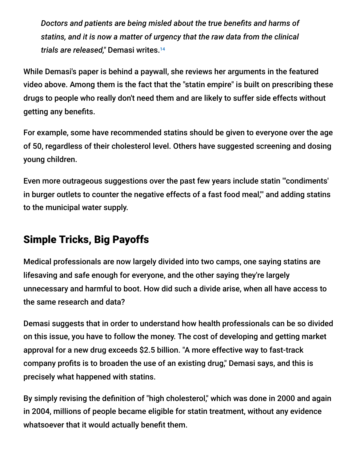*Doctors and patients are being misled about the true benefits and harms of statins, and it is now a matter of urgency that the raw data from the clinical trials are released,"* Demasi writes. 14

While Demasi's paper is behind a paywall, she reviews her arguments in the featured video above. Among them is the fact that the "statin empire" is built on prescribing these drugs to people who really don't need them and are likely to suffer side effects without getting any benefits.

For example, some have recommended statins should be given to everyone over the age of 50, regardless of their cholesterol level. Others have suggested screening and dosing young children.

Even more outrageous suggestions over the past few years include statin "'condiments' in burger outlets to counter the negative effects of a fast food meal,'" and adding statins to the municipal water supply.

## Simple Tricks, Big Payoffs

Medical professionals are now largely divided into two camps, one saying statins are lifesaving and safe enough for everyone, and the other saying they're largely unnecessary and harmful to boot. How did such a divide arise, when all have access to the same research and data?

Demasi suggests that in order to understand how health professionals can be so divided on this issue, you have to follow the money. The cost of developing and getting market approval for a new drug exceeds \$2.5 billion. "A more effective way to fast-track company profits is to broaden the use of an existing drug," Demasi says, and this is precisely what happened with statins.

By simply revising the definition of "high cholesterol," which was done in 2000 and again in 2004, millions of people became eligible for statin treatment, without any evidence whatsoever that it would actually benefit them.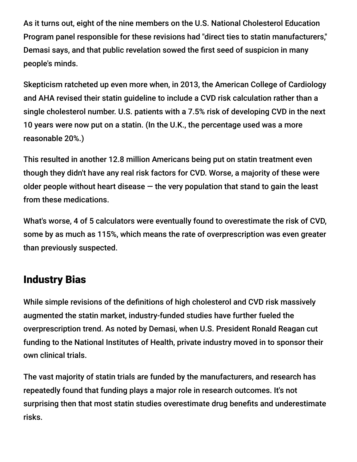As it turns out, eight of the nine members on the U.S. National Cholesterol Education Program panel responsible for these revisions had "direct ties to statin manufacturers," Demasi says, and that public revelation sowed the first seed of suspicion in many people's minds.

Skepticism ratcheted up even more when, in 2013, the American College of Cardiology and AHA revised their statin guideline to include a CVD risk calculation rather than a single cholesterol number. U.S. patients with a 7.5% risk of developing CVD in the next 10 years were now put on a statin. (In the U.K., the percentage used was a more reasonable 20%.)

This resulted in another 12.8 million Americans being put on statin treatment even though they didn't have any real risk factors for CVD. Worse, a majority of these were older people without heart disease  $-$  the very population that stand to gain the least from these medications.

What's worse, 4 of 5 calculators were eventually found to overestimate the risk of CVD, some by as much as 115%, which means the rate of overprescription was even greater than previously suspected.

### Industry Bias

While simple revisions of the definitions of high cholesterol and CVD risk massively augmented the statin market, industry-funded studies have further fueled the overprescription trend. As noted by Demasi, when U.S. President Ronald Reagan cut funding to the National Institutes of Health, private industry moved in to sponsor their own clinical trials.

The vast majority of statin trials are funded by the manufacturers, and research has repeatedly found that funding plays a major role in research outcomes. It's not surprising then that most statin studies overestimate drug benefits and underestimate risks.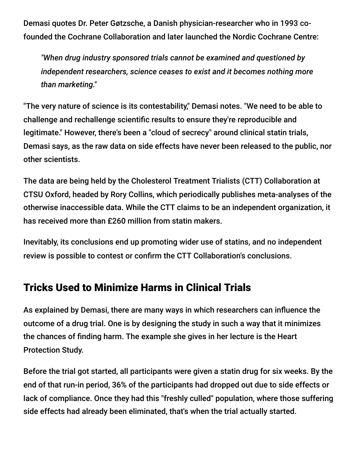Demasi quotes Dr. Peter Gøtzsche, a Danish physician-researcher who in 1993 cofounded the Cochrane Collaboration and later launched the Nordic Cochrane Centre:

*"When drug industry sponsored trials cannot be examined and questioned by independent researchers, science ceases to exist and it becomes nothing more than marketing."*

"The very nature of science is its contestability," Demasi notes. "We need to be able to challenge and rechallenge scientific results to ensure they're reproducible and legitimate." However, there's been a "cloud of secrecy" around clinical statin trials, Demasi says, as the raw data on side effects have never been released to the public, nor other scientists.

The data are being held by the Cholesterol Treatment Trialists (CTT) Collaboration at CTSU Oxford, headed by Rory Collins, which periodically publishes meta-analyses of the otherwise inaccessible data. While the CTT claims to be an independent organization, it has received more than £260 million from statin makers.

Inevitably, its conclusions end up promoting wider use of statins, and no independent review is possible to contest or confirm the CTT Collaboration's conclusions.

### Tricks Used to Minimize Harms in Clinical Trials

As explained by Demasi, there are many ways in which researchers can influence the outcome of a drug trial. One is by designing the study in such a way that it minimizes the chances of finding harm. The example she gives in her lecture is the Heart Protection Study.

Before the trial got started, all participants were given a statin drug for six weeks. By the end of that run-in period, 36% of the participants had dropped out due to side effects or lack of compliance. Once they had this "freshly culled" population, where those suffering side effects had already been eliminated, that's when the trial actually started.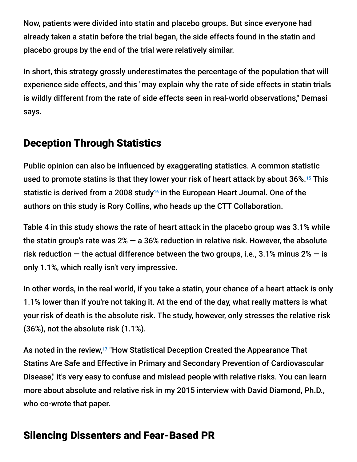Now, patients were divided into statin and placebo groups. But since everyone had already taken a statin before the trial began, the side effects found in the statin and placebo groups by the end of the trial were relatively similar.

In short, this strategy grossly underestimates the percentage of the population that will experience side effects, and this "may explain why the rate of side effects in statin trials is wildly different from the rate of side effects seen in real-world observations," Demasi says.

### Deception Through Statistics

Public opinion can also be influenced by exaggerating statistics. A common statistic used to promote statins is that they lower your risk of heart attack by about 36%.<sup>15</sup> This statistic is derived from a 2008 study<sup>16</sup> in the European Heart Journal. One of the authors on this study is Rory Collins, who heads up the CTT Collaboration.

Table 4 in this study shows the rate of heart attack in the placebo group was 3.1% while the statin group's rate was  $2\%$  – a 36% reduction in relative risk. However, the absolute risk reduction  $-$  the actual difference between the two groups, i.e., 3.1% minus 2%  $-$  is only 1.1%, which really isn't very impressive.

In other words, in the real world, if you take a statin, your chance of a heart attack is only 1.1% lower than if you're not taking it. At the end of the day, what really matters is what your risk of death is the absolute risk. The study, however, only stresses the relative risk (36%), not the absolute risk (1.1%).

As noted in the review,<sup>17</sup> "How Statistical Deception Created the Appearance That Statins Are Safe and Effective in Primary and Secondary Prevention of Cardiovascular Disease," it's very easy to confuse and mislead people with relative risks. You can learn more about absolute and relative risk in my 2015 interview with David Diamond, Ph.D., who co-wrote that paper.

## Silencing Dissenters and Fear-Based PR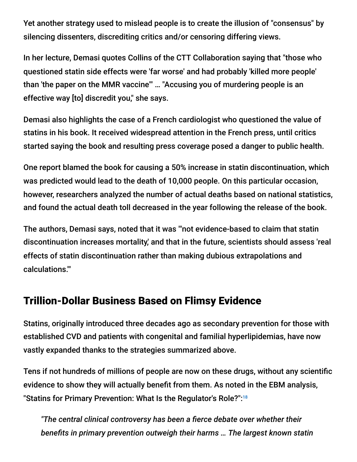Yet another strategy used to mislead people is to create the illusion of "consensus" by silencing dissenters, discrediting critics and/or censoring differing views.

In her lecture, Demasi quotes Collins of the CTT Collaboration saying that "those who questioned statin side effects were 'far worse' and had probably 'killed more people' than 'the paper on the MMR vaccine'" … "Accusing you of murdering people is an effective way [to] discredit you," she says.

Demasi also highlights the case of a French cardiologist who questioned the value of statins in his book. It received widespread attention in the French press, until critics started saying the book and resulting press coverage posed a danger to public health.

One report blamed the book for causing a 50% increase in statin discontinuation, which was predicted would lead to the death of 10,000 people. On this particular occasion, however, researchers analyzed the number of actual deaths based on national statistics, and found the actual death toll decreased in the year following the release of the book.

The authors, Demasi says, noted that it was "'not evidence-based to claim that statin discontinuation increases mortality,' and that in the future, scientists should assess 'real effects of statin discontinuation rather than making dubious extrapolations and calculations.'"

### Trillion-Dollar Business Based on Flimsy Evidence

Statins, originally introduced three decades ago as secondary prevention for those with established CVD and patients with congenital and familial hyperlipidemias, have now vastly expanded thanks to the strategies summarized above.

Tens if not hundreds of millions of people are now on these drugs, without any scientific evidence to show they will actually benefit from them. As noted in the EBM analysis, "Statins for Primary Prevention: What Is the Regulator's Role?": 18

*"The central clinical controversy has been a fierce debate over whether their benefits in primary prevention outweigh their harms … The largest known statin*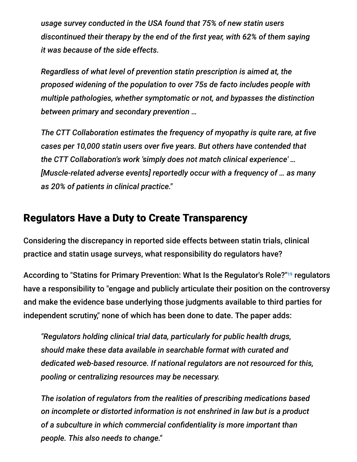*usage survey conducted in the USA found that 75% of new statin users discontinued their therapy by the end of the first year, with 62% of them saying it was because of the side effects.*

*Regardless of what level of prevention statin prescription is aimed at, the proposed widening of the population to over 75s de facto includes people with multiple pathologies, whether symptomatic or not, and bypasses the distinction between primary and secondary prevention …*

*The CTT Collaboration estimates the frequency of myopathy is quite rare, at five cases per 10,000 statin users over five years. But others have contended that the CTT Collaboration's work 'simply does not match clinical experience' … [Muscle-related adverse events] reportedly occur with a frequency of … as many as 20% of patients in clinical practice."*

#### Regulators Have a Duty to Create Transparency

Considering the discrepancy in reported side effects between statin trials, clinical practice and statin usage surveys, what responsibility do regulators have?

According to "Statins for Primary Prevention: What Is the Regulator's Role?"<sup>19</sup> regulators have a responsibility to "engage and publicly articulate their position on the controversy and make the evidence base underlying those judgments available to third parties for independent scrutiny," none of which has been done to date. The paper adds:

*"Regulators holding clinical trial data, particularly for public health drugs, should make these data available in searchable format with curated and dedicated web-based resource. If national regulators are not resourced for this, pooling or centralizing resources may be necessary.*

*The isolation of regulators from the realities of prescribing medications based on incomplete or distorted information is not enshrined in law but is a product of a subculture in which commercial confidentiality is more important than people. This also needs to change."*